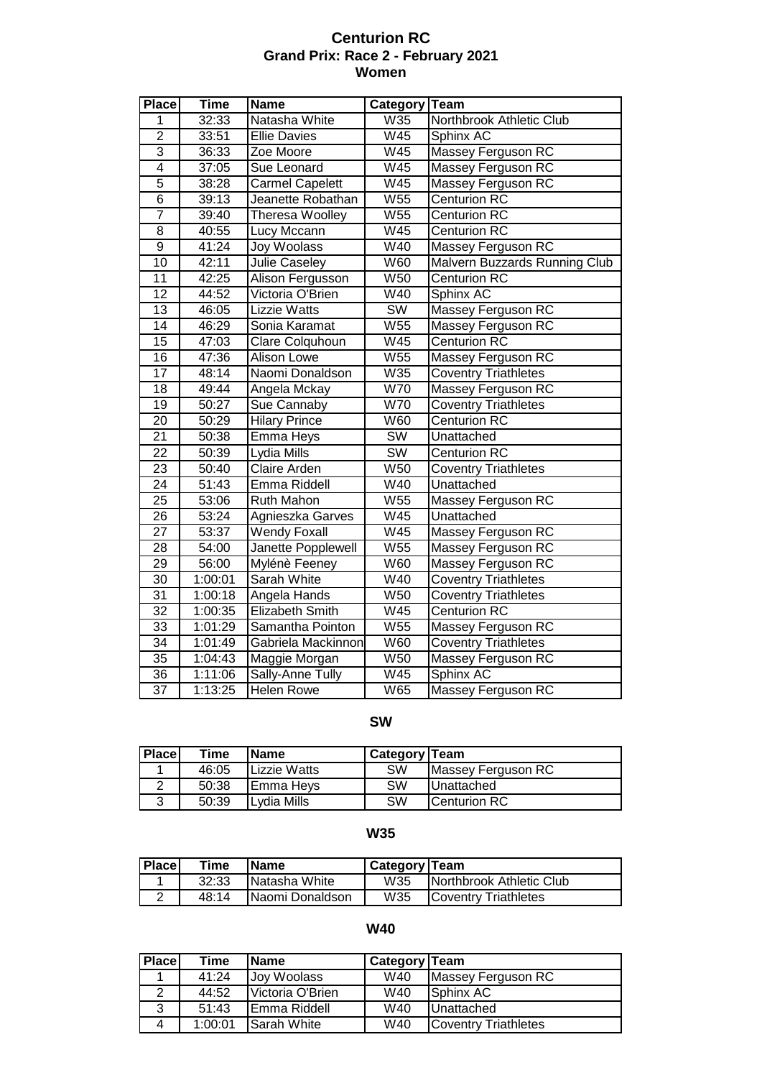#### **Centurion RC Grand Prix: Race 2 - February 2021 Women**

| <b>Place</b>    | <b>Time</b> | <b>Name</b>            | Category Team          |                               |
|-----------------|-------------|------------------------|------------------------|-------------------------------|
| 1               | 32:33       | Natasha White          | W35                    | Northbrook Athletic Club      |
| $\overline{2}$  | 33:51       | <b>Ellie Davies</b>    | W45                    | Sphinx AC                     |
| $\overline{3}$  | 36:33       | Zoe Moore              | W45                    | Massey Ferguson RC            |
| $\overline{4}$  | 37:05       | Sue Leonard            | W45                    | <b>Massey Ferguson RC</b>     |
| $\overline{5}$  | 38:28       | <b>Carmel Capelett</b> | W45                    | <b>Massey Ferguson RC</b>     |
| $\overline{6}$  | 39:13       | Jeanette Robathan      | W55                    | <b>Centurion RC</b>           |
| $\overline{7}$  | 39:40       | Theresa Woolley        | W55                    | <b>Centurion RC</b>           |
| $\overline{8}$  | 40:55       | <b>Lucy Mccann</b>     | W45                    | <b>Centurion RC</b>           |
| $\overline{9}$  | 41:24       | <b>Joy Woolass</b>     | W40                    | <b>Massey Ferguson RC</b>     |
| 10              | 42:11       | <b>Julie Caseley</b>   | W60                    | Malvern Buzzards Running Club |
| 11              | 42:25       | Alison Fergusson       | W50                    | Centurion <sub>RC</sub>       |
| 12              | 44:52       | Victoria O'Brien       | $\overline{W40}$       | Sphinx AC                     |
| 13              | 46:05       | <b>Lizzie Watts</b>    | <b>SW</b>              | Massey Ferguson RC            |
| $\overline{14}$ | 46:29       | Sonia Karamat          | W55                    | <b>Massey Ferguson RC</b>     |
| 15              | 47:03       | Clare Colquhoun        | W <sub>45</sub>        | <b>Centurion RC</b>           |
| 16              | 47:36       | <b>Alison Lowe</b>     | W55                    | Massey Ferguson RC            |
| 17              | 48:14       | Naomi Donaldson        | W35                    | <b>Coventry Triathletes</b>   |
| $\overline{18}$ | 49:44       | Angela Mckay           | <b>W70</b>             | <b>Massey Ferguson RC</b>     |
| 19              | 50:27       | Sue Cannaby            | W70                    | <b>Coventry Triathletes</b>   |
| $\overline{20}$ | 50:29       | <b>Hilary Prince</b>   | W60                    | <b>Centurion RC</b>           |
| $\overline{21}$ | 50:38       | Emma Heys              | <b>SW</b>              | Unattached                    |
| $\overline{22}$ | 50:39       | Lydia Mills            | $\overline{\text{SW}}$ | <b>Centurion RC</b>           |
| 23              | 50:40       | <b>Claire Arden</b>    | W <sub>50</sub>        | <b>Coventry Triathletes</b>   |
| 24              | 51:43       | Emma Riddell           | W40                    | Unattached                    |
| $\overline{25}$ | 53:06       | Ruth Mahon             | W55                    | Massey Ferguson RC            |
| $\overline{26}$ | 53:24       | Agnieszka Garves       | W45                    | Unattached                    |
| $\overline{27}$ | 53:37       | <b>Wendy Foxall</b>    | W45                    | Massey Ferguson RC            |
| 28              | 54:00       | Janette Popplewell     | W55                    | Massey Ferguson RC            |
| $\overline{29}$ | 56:00       | Mylénè Feeney          | W60                    | Massey Ferguson RC            |
| $\overline{30}$ | 1:00:01     | <b>Sarah White</b>     | W40                    | <b>Coventry Triathletes</b>   |
| $\overline{31}$ | 1:00:18     | Angela Hands           | W50                    | <b>Coventry Triathletes</b>   |
| $\overline{32}$ | 1:00:35     | Elizabeth Smith        | W45                    | <b>Centurion RC</b>           |
| 33              | 1:01:29     | Samantha Pointon       | W55                    | Massey Ferguson RC            |
| 34              | 1:01:49     | Gabriela Mackinnon     | W60                    | <b>Coventry Triathletes</b>   |
| 35              | 1:04:43     | Maggie Morgan          | $\overline{W50}$       | <b>Massey Ferguson RC</b>     |
| 36              | 1:11:06     | Sally-Anne Tully       | W45                    | Sphinx AC                     |
| $\overline{37}$ | 1:13:25     | <b>Helen Rowe</b>      | <b>W65</b>             | Massey Ferguson RC            |

#### **SW**

| <b>Place</b> | Time  | <b>IName</b>      | <b>Category Team</b> |                    |
|--------------|-------|-------------------|----------------------|--------------------|
|              | 46:05 | Lizzie Watts      | SW                   | Massey Ferguson RC |
|              | 50:38 | <b>IEmma Hevs</b> | <b>SW</b>            | <b>Unattached</b>  |
| ว            | 50:39 | Lydia Mills       | SW                   | Centurion RC       |

#### **W35**

| <b>Place</b> | Time  | <b>IName</b>            | Category   Team |                                  |
|--------------|-------|-------------------------|-----------------|----------------------------------|
|              | 32:33 | Natasha White           | W35             | <b>INorthbrook Athletic Club</b> |
|              | 48:14 | <b>INaomi Donaldson</b> | W35             | <b>ICoventry Triathletes</b>     |

#### **W40**

| <b>Place</b> | Time    | <b>IName</b>     | Category Team |                             |
|--------------|---------|------------------|---------------|-----------------------------|
|              | 41:24   | Joy Woolass      | W40           | Massey Ferguson RC          |
|              | 44:52   | Victoria O'Brien | W40           | Sphinx AC                   |
| າ            | 51:43   | IEmma Riddell    | W40           | <b>Unattached</b>           |
| 4            | 1:00:01 | Sarah White      | W40           | <b>Coventry Triathletes</b> |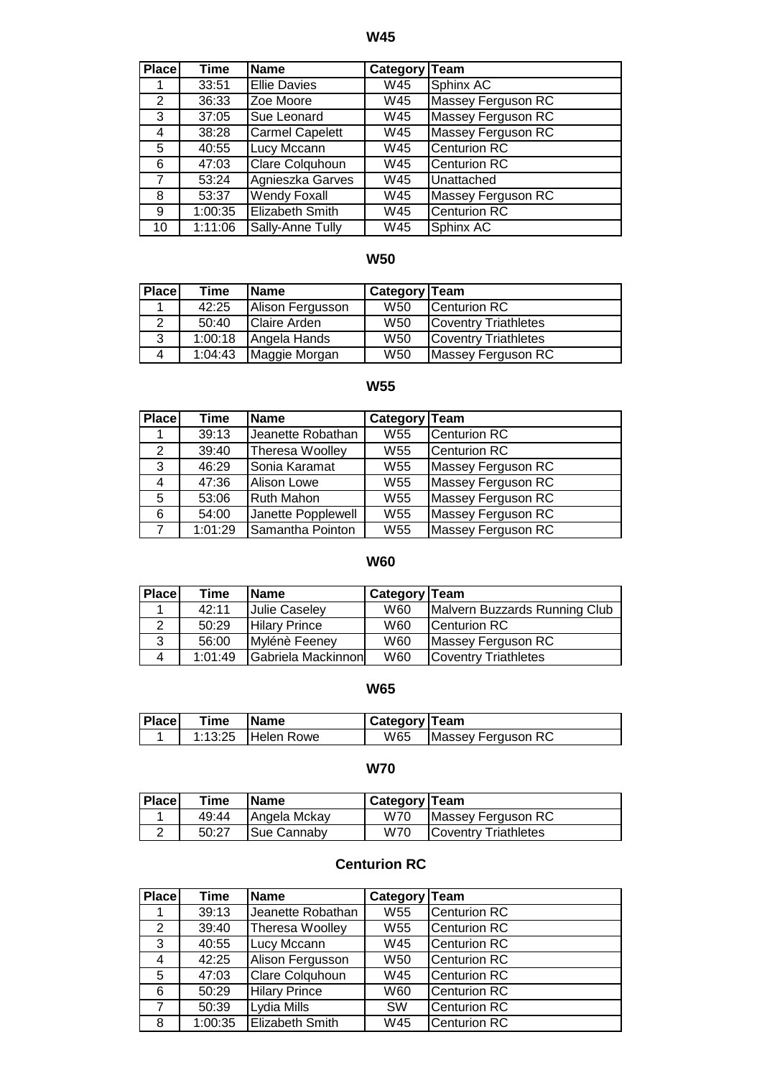**W45**

| <b>Place</b>         | <b>Time</b> | <b>Name</b>            | Category Team |                     |
|----------------------|-------------|------------------------|---------------|---------------------|
|                      | 33:51       | <b>Ellie Davies</b>    | W45           | Sphinx AC           |
| $\mathbf{2}^{\circ}$ | 36:33       | Zoe Moore              | W45           | Massey Ferguson RC  |
| 3                    | 37:05       | Sue Leonard            | W45           | Massey Ferguson RC  |
| 4                    | 38:28       | <b>Carmel Capelett</b> | W45           | Massey Ferguson RC  |
| 5                    | 40:55       | Lucy Mccann            | W45           | <b>Centurion RC</b> |
| 6                    | 47:03       | <b>Clare Colquhoun</b> | W45           | <b>Centurion RC</b> |
| 7                    | 53:24       | Agnieszka Garves       | W45           | Unattached          |
| 8                    | 53:37       | <b>Wendy Foxall</b>    | W45           | Massey Ferguson RC  |
| 9                    | 1:00:35     | Elizabeth Smith        | W45           | <b>Centurion RC</b> |
| 10                   | 1:11:06     | Sally-Anne Tully       | W45           | Sphinx AC           |

## **W50**

| <b>Place</b> | Time    | <b>Name</b>         | <b>Category Team</b> |                             |
|--------------|---------|---------------------|----------------------|-----------------------------|
|              | 42:25   | Alison Fergusson    | W <sub>50</sub>      | Centurion RC                |
| 2            | 50:40   | <b>Claire Arden</b> | W <sub>50</sub>      | <b>Coventry Triathletes</b> |
| 3            | 1:00:18 | Angela Hands        | W <sub>50</sub>      | Coventry Triathletes        |
| 4            | 1:04:43 | Maggie Morgan       | W <sub>50</sub>      | Massey Ferguson RC          |

### **W55**

| <b>Place</b> | Time    | <b>Name</b>        | Category Team   |                     |
|--------------|---------|--------------------|-----------------|---------------------|
|              | 39:13   | Jeanette Robathan  | W <sub>55</sub> | Centurion RC        |
| 2            | 39:40   | Theresa Woolley    | W55             | <b>Centurion RC</b> |
| 3            | 46:29   | Sonia Karamat      | W <sub>55</sub> | Massey Ferguson RC  |
| 4            | 47:36   | Alison Lowe        | W <sub>55</sub> | Massey Ferguson RC  |
| 5.           | 53:06   | <b>Ruth Mahon</b>  | W <sub>55</sub> | Massey Ferguson RC  |
| 6            | 54:00   | Janette Popplewell | W <sub>55</sub> | Massey Ferguson RC  |
| 7            | 1:01:29 | Samantha Pointon   | W <sub>55</sub> | Massey Ferguson RC  |

# **W60**

| <b>Place</b>   | Time    | lName                | Category Team |                               |
|----------------|---------|----------------------|---------------|-------------------------------|
|                | 42:11   | Julie Caseley        | W60           | Malvern Buzzards Running Club |
| $\mathcal{P}$  | 50:29   | <b>Hilary Prince</b> | W60           | Centurion RC                  |
| 3              | 56:00   | Mylénè Feeney        | W60           | Massey Ferguson RC            |
| $\overline{4}$ | 1:01:49 | Gabriela Mackinnon   | W60           | <b>Coventry Triathletes</b>   |

### **W65**

| <b>Place</b> | Time | <b>IName</b>       | Category   Team |                          |
|--------------|------|--------------------|-----------------|--------------------------|
|              |      | 1:13:25 Helen Rowe |                 | W65   Massey Ferguson RC |

### **W70**

| <b>Place</b> | Time  | <b>IName</b> | Category   Team |                             |
|--------------|-------|--------------|-----------------|-----------------------------|
|              | 49:44 | Angela Mckay | W70             | Massey Ferguson RC          |
|              | 50:27 | Sue Cannaby  | W70             | <b>Coventry Triathletes</b> |

## **Centurion RC**

| Place                | Time    | <b>Name</b>            | Category Team   |                     |
|----------------------|---------|------------------------|-----------------|---------------------|
|                      | 39:13   | Jeanette Robathan      | W <sub>55</sub> | <b>Centurion RC</b> |
| $\mathbf{2}^{\circ}$ | 39:40   | Theresa Woolley        | W <sub>55</sub> | <b>Centurion RC</b> |
| 3                    | 40:55   | Lucy Mccann            | W45             | <b>Centurion RC</b> |
| 4                    | 42:25   | Alison Fergusson       | W <sub>50</sub> | <b>Centurion RC</b> |
| 5                    | 47:03   | Clare Colquhoun        | W45             | <b>Centurion RC</b> |
| 6                    | 50:29   | <b>Hilary Prince</b>   | W60             | <b>Centurion RC</b> |
| 7                    | 50:39   | Lydia Mills            | <b>SW</b>       | <b>Centurion RC</b> |
| 8                    | 1:00:35 | <b>Elizabeth Smith</b> | W45             | <b>Centurion RC</b> |